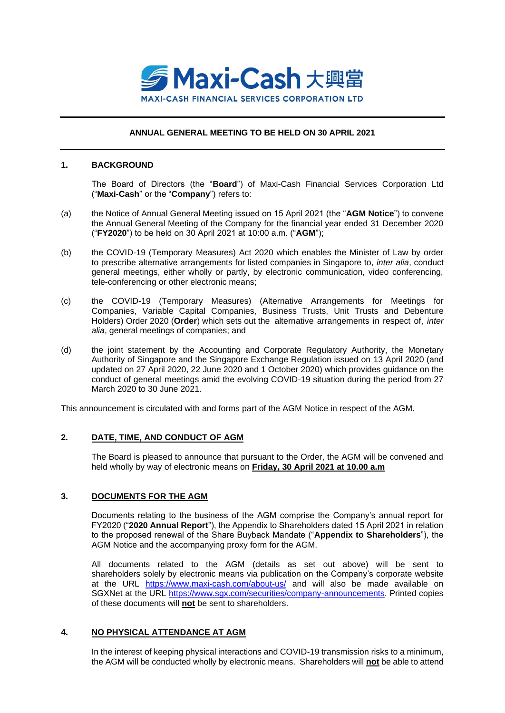

## **ANNUAL GENERAL MEETING TO BE HELD ON 30 APRIL 2021**

#### **1. BACKGROUND**

The Board of Directors (the "**Board**") of Maxi-Cash Financial Services Corporation Ltd ("**Maxi-Cash**" or the "**Company**") refers to:

- (a) the Notice of Annual General Meeting issued on 15 April 2021 (the "**AGM Notice**") to convene the Annual General Meeting of the Company for the financial year ended 31 December 2020 ("**FY2020**") to be held on 30 April 2021 at 10:00 a.m. ("**AGM**");
- (b) the COVID-19 (Temporary Measures) Act 2020 which enables the Minister of Law by order to prescribe alternative arrangements for listed companies in Singapore to, *inter alia*, conduct general meetings, either wholly or partly, by electronic communication, video conferencing, tele-conferencing or other electronic means;
- (c) the COVID-19 (Temporary Measures) (Alternative Arrangements for Meetings for Companies, Variable Capital Companies, Business Trusts, Unit Trusts and Debenture Holders) Order 2020 (**Order**) which sets out the alternative arrangements in respect of, *inter alia*, general meetings of companies; and
- (d) the joint statement by the Accounting and Corporate Regulatory Authority, the Monetary Authority of Singapore and the Singapore Exchange Regulation issued on 13 April 2020 (and updated on 27 April 2020, 22 June 2020 and 1 October 2020) which provides guidance on the conduct of general meetings amid the evolving COVID-19 situation during the period from 27 March 2020 to 30 June 2021.

This announcement is circulated with and forms part of the AGM Notice in respect of the AGM.

## **2. DATE, TIME, AND CONDUCT OF AGM**

The Board is pleased to announce that pursuant to the Order, the AGM will be convened and held wholly by way of electronic means on **Friday, 30 April 2021 at 10.00 a.m**

## **3. DOCUMENTS FOR THE AGM**

Documents relating to the business of the AGM comprise the Company's annual report for FY2020 ("**2020 Annual Report**"), the Appendix to Shareholders dated 15 April 2021 in relation to the proposed renewal of the Share Buyback Mandate ("**Appendix to Shareholders**"), the AGM Notice and the accompanying proxy form for the AGM.

All documents related to the AGM (details as set out above) will be sent to shareholders solely by electronic means via publication on the Company's corporate website at the URL <https://www.maxi-cash.com/about-us/> and will also be made available on SGXNet at the URL [https://www.sgx.com/securities/company-announcements.](https://www.sgx.com/securities/company-announcements) Printed copies of these documents will **not** be sent to shareholders.

## **4. NO PHYSICAL ATTENDANCE AT AGM**

In the interest of keeping physical interactions and COVID-19 transmission risks to a minimum, the AGM will be conducted wholly by electronic means. Shareholders will **not** be able to attend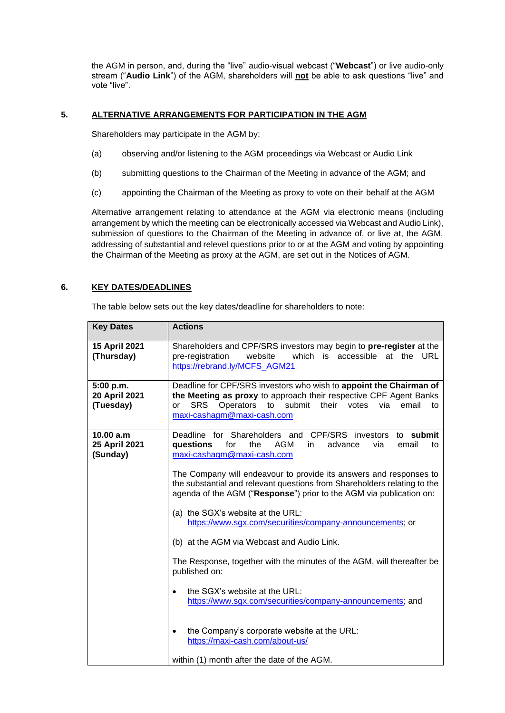the AGM in person, and, during the "live" audio-visual webcast ("**Webcast**") or live audio-only stream ("**Audio Link**") of the AGM, shareholders will **not** be able to ask questions "live" and vote "live".

# **5. ALTERNATIVE ARRANGEMENTS FOR PARTICIPATION IN THE AGM**

Shareholders may participate in the AGM by:

- (a) observing and/or listening to the AGM proceedings via Webcast or Audio Link
- (b) submitting questions to the Chairman of the Meeting in advance of the AGM; and
- (c) appointing the Chairman of the Meeting as proxy to vote on their behalf at the AGM

Alternative arrangement relating to attendance at the AGM via electronic means (including arrangement by which the meeting can be electronically accessed via Webcast and Audio Link), submission of questions to the Chairman of the Meeting in advance of, or live at, the AGM, addressing of substantial and relevel questions prior to or at the AGM and voting by appointing the Chairman of the Meeting as proxy at the AGM, are set out in the Notices of AGM.

## **6. KEY DATES/DEADLINES**

The table below sets out the key dates/deadline for shareholders to note:

| <b>Key Dates</b>                        | <b>Actions</b>                                                                                                                                                                                                                                                                                                                                                                                                                                                                                                                                                                                                                                                                                                                                                                                                                                                                                      |
|-----------------------------------------|-----------------------------------------------------------------------------------------------------------------------------------------------------------------------------------------------------------------------------------------------------------------------------------------------------------------------------------------------------------------------------------------------------------------------------------------------------------------------------------------------------------------------------------------------------------------------------------------------------------------------------------------------------------------------------------------------------------------------------------------------------------------------------------------------------------------------------------------------------------------------------------------------------|
| 15 April 2021<br>(Thursday)             | Shareholders and CPF/SRS investors may begin to pre-register at the<br>pre-registration<br>website<br>which is accessible<br>at the<br>URL<br>https://rebrand.ly/MCFS_AGM21                                                                                                                                                                                                                                                                                                                                                                                                                                                                                                                                                                                                                                                                                                                         |
| 5:00 p.m.<br>20 April 2021<br>(Tuesday) | Deadline for CPF/SRS investors who wish to appoint the Chairman of<br>the Meeting as proxy to approach their respective CPF Agent Banks<br>Operators<br>to submit<br>their<br><b>SRS</b><br>votes<br>email<br>via<br>to<br>or<br>maxi-cashagm@maxi-cash.com                                                                                                                                                                                                                                                                                                                                                                                                                                                                                                                                                                                                                                         |
| 10.00 a.m<br>25 April 2021<br>(Sunday)  | Deadline for Shareholders and CPF/SRS<br>to submit<br>investors<br>questions<br>for<br>the<br>AGM<br>email<br>advance<br>via<br>in.<br>to<br>maxi-cashagm@maxi-cash.com<br>The Company will endeavour to provide its answers and responses to<br>the substantial and relevant questions from Shareholders relating to the<br>agenda of the AGM ("Response") prior to the AGM via publication on:<br>(a) the SGX's website at the URL:<br>https://www.sgx.com/securities/company-announcements; or<br>(b) at the AGM via Webcast and Audio Link.<br>The Response, together with the minutes of the AGM, will thereafter be<br>published on:<br>the SGX's website at the URL:<br>$\bullet$<br>https://www.sgx.com/securities/company-announcements; and<br>the Company's corporate website at the URL:<br>$\bullet$<br>https://maxi-cash.com/about-us/<br>within (1) month after the date of the AGM. |